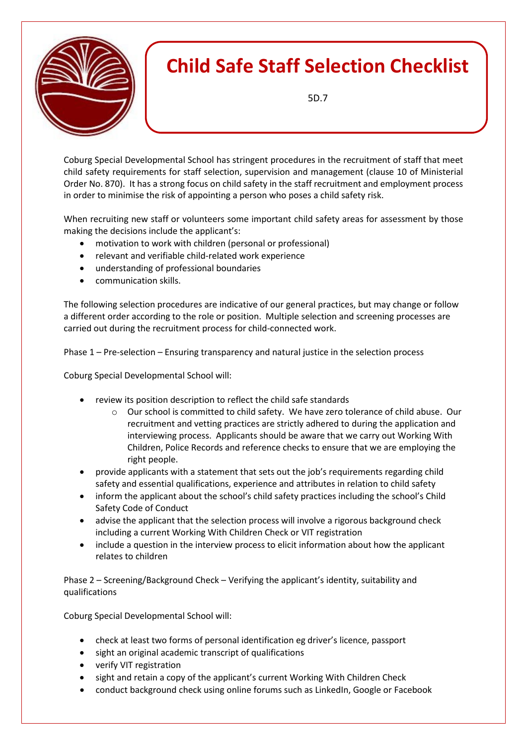

Coburg Special Developmental School has stringent procedures in the recruitment of staff that meet child safety requirements for staff selection, supervision and management (clause 10 of Ministerial Order No. 870). It has a strong focus on child safety in the staff recruitment and employment process in order to minimise the risk of appointing a person who poses a child safety risk.

When recruiting new staff or volunteers some important child safety areas for assessment by those making the decisions include the applicant's:

- motivation to work with children (personal or professional)
- relevant and verifiable child-related work experience
- understanding of professional boundaries
- communication skills.

The following selection procedures are indicative of our general practices, but may change or follow a different order according to the role or position. Multiple selection and screening processes are carried out during the recruitment process for child-connected work.

Phase 1 – Pre-selection – Ensuring transparency and natural justice in the selection process

Coburg Special Developmental School will:

- review its position description to reflect the child safe standards
	- o Our school is committed to child safety. We have zero tolerance of child abuse. Our recruitment and vetting practices are strictly adhered to during the application and interviewing process. Applicants should be aware that we carry out Working With Children, Police Records and reference checks to ensure that we are employing the right people.
- provide applicants with a statement that sets out the job's requirements regarding child safety and essential qualifications, experience and attributes in relation to child safety
- inform the applicant about the school's child safety practices including the school's Child Safety Code of Conduct
- advise the applicant that the selection process will involve a rigorous background check including a current Working With Children Check or VIT registration
- include a question in the interview process to elicit information about how the applicant relates to children

Phase 2 – Screening/Background Check – Verifying the applicant's identity, suitability and qualifications

Coburg Special Developmental School will:

- check at least two forms of personal identification eg driver's licence, passport
- sight an original academic transcript of qualifications
- verify VIT registration
- sight and retain a copy of the applicant's current Working With Children Check
- conduct background check using online forums such as LinkedIn, Google or Facebook